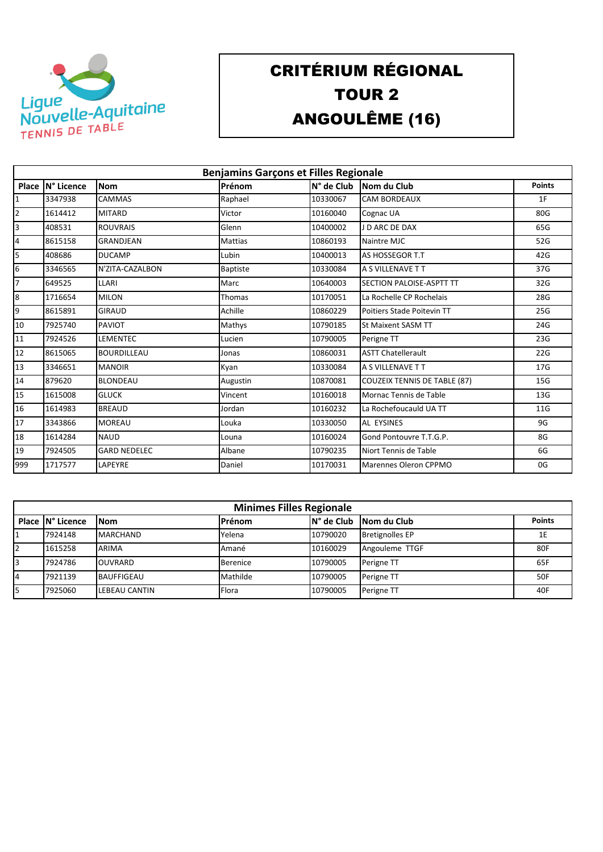

## CRITÉRIUM RÉGIONAL TOUR 2 ANGOULÊME (16)

|                | <b>Benjamins Garçons et Filles Regionale</b> |                     |                 |            |                                     |               |  |  |  |
|----------------|----------------------------------------------|---------------------|-----------------|------------|-------------------------------------|---------------|--|--|--|
|                | Place   N° Licence                           | <b>Nom</b>          | Prénom          | N° de Club | Nom du Club                         | <b>Points</b> |  |  |  |
| 1              | 3347938                                      | CAMMAS              | Raphael         | 10330067   | <b>CAM BORDEAUX</b>                 | 1F            |  |  |  |
| $\overline{2}$ | 1614412                                      | <b>MITARD</b>       | Victor          | 10160040   | Cognac UA                           | 80G           |  |  |  |
| 3              | 408531                                       | <b>ROUVRAIS</b>     | Glenn           | 10400002   | J D ARC DE DAX                      | 65G           |  |  |  |
| 4              | 8615158                                      | <b>GRANDJEAN</b>    | Mattias         | 10860193   | Naintre MJC                         | 52G           |  |  |  |
| 5              | 408686                                       | <b>DUCAMP</b>       | Lubin           | 10400013   | <b>AS HOSSEGOR T.T</b>              | 42G           |  |  |  |
| 6              | 3346565                                      | N'ZITA-CAZALBON     | <b>Baptiste</b> | 10330084   | A S VILLENAVE T T                   | 37G           |  |  |  |
| $\overline{7}$ | 649525                                       | LLARI               | Marc            | 10640003   | <b>SECTION PALOISE-ASPTT TT</b>     | 32G           |  |  |  |
| 8              | 1716654                                      | <b>MILON</b>        | Thomas          | 10170051   | La Rochelle CP Rochelais            | 28G           |  |  |  |
| 9              | 8615891                                      | <b>GIRAUD</b>       | Achille         | 10860229   | Poitiers Stade Poitevin TT          | 25G           |  |  |  |
| 10             | 7925740                                      | <b>PAVIOT</b>       | Mathys          | 10790185   | <b>St Maixent SASM TT</b>           | 24G           |  |  |  |
| 11             | 7924526                                      | <b>LEMENTEC</b>     | Lucien          | 10790005   | Perigne TT                          | 23G           |  |  |  |
| 12             | 8615065                                      | <b>BOURDILLEAU</b>  | Jonas           | 10860031   | <b>ASTT Chatellerault</b>           | 22G           |  |  |  |
| 13             | 3346651                                      | <b>MANOIR</b>       | Kyan            | 10330084   | A S VILLENAVE T T                   | 17G           |  |  |  |
| 14             | 879620                                       | <b>BLONDEAU</b>     | Augustin        | 10870081   | <b>COUZEIX TENNIS DE TABLE (87)</b> | 15G           |  |  |  |
| 15             | 1615008                                      | <b>GLUCK</b>        | Vincent         | 10160018   | Mornac Tennis de Table              | 13G           |  |  |  |
| 16             | 1614983                                      | <b>BREAUD</b>       | Jordan          | 10160232   | La Rochefoucauld UA TT              | 11G           |  |  |  |
| 17             | 3343866                                      | <b>MOREAU</b>       | Louka           | 10330050   | <b>AL EYSINES</b>                   | 9G            |  |  |  |
| 18             | 1614284                                      | <b>NAUD</b>         | Louna           | 10160024   | Gond Pontouvre T.T.G.P.             | 8G            |  |  |  |
| 19             | 7924505                                      | <b>GARD NEDELEC</b> | Albane          | 10790235   | Niort Tennis de Table               | 6G            |  |  |  |
| 999            | 1717577                                      | LAPEYRE             | Daniel          | 10170031   | Marennes Oleron CPPMO               | 0G            |  |  |  |

| <b>Minimes Filles Regionale</b> |                   |                 |             |                        |               |  |  |
|---------------------------------|-------------------|-----------------|-------------|------------------------|---------------|--|--|
| Place IN° Licence               | <b>INom</b>       | <b>Prénom</b>   | IN° de Club | Nom du Club            | <b>Points</b> |  |  |
| 7924148                         | <b>MARCHAND</b>   | Yelena          | 10790020    | <b>Bretignolles EP</b> | 1E            |  |  |
| 1615258                         | ARIMA             | Amané           | 10160029    | Angouleme TTGF         | 80F           |  |  |
| 7924786                         | <b>OUVRARD</b>    | <b>Berenice</b> | 10790005    | Perigne TT             | 65F           |  |  |
| 7921139                         | <b>BAUFFIGEAU</b> | Mathilde        | 10790005    | Perigne TT             | 50F           |  |  |
| 7925060                         | LEBEAU CANTIN     | Flora           | 10790005    | Perigne TT             | 40F           |  |  |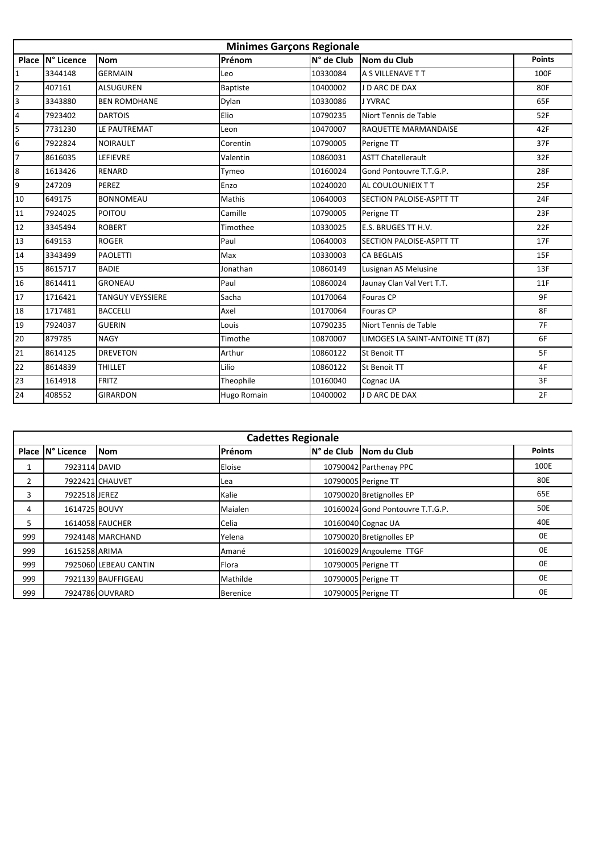|                 | <b>Minimes Garçons Regionale</b> |                         |                    |            |                                  |               |  |  |
|-----------------|----------------------------------|-------------------------|--------------------|------------|----------------------------------|---------------|--|--|
| Place           | N° Licence                       | <b>Nom</b>              | Prénom             | N° de Club | Nom du Club                      | <b>Points</b> |  |  |
| $\overline{1}$  | 3344148                          | <b>GERMAIN</b>          | Leo                | 10330084   | A S VILLENAVE T T                | 100F          |  |  |
| $\overline{2}$  | 407161                           | <b>ALSUGUREN</b>        | <b>Baptiste</b>    | 10400002   | J D ARC DE DAX                   | 80F           |  |  |
| $\overline{3}$  | 3343880                          | <b>BEN ROMDHANE</b>     | Dylan              | 10330086   | J YVRAC                          | 65F           |  |  |
| $\overline{4}$  | 7923402                          | <b>DARTOIS</b>          | Elio               | 10790235   | Niort Tennis de Table            | 52F           |  |  |
| 5               | 7731230                          | LE PAUTREMAT            | Leon               | 10470007   | RAQUETTE MARMANDAISE             | 42F           |  |  |
| $6\overline{6}$ | 7922824                          | <b>NOIRAULT</b>         | Corentin           | 10790005   | Perigne TT                       | 37F           |  |  |
| 7               | 8616035                          | LEFIEVRE                | Valentin           | 10860031   | <b>ASTT Chatellerault</b>        | 32F           |  |  |
| $\overline{8}$  | 1613426                          | <b>RENARD</b>           | Tymeo              | 10160024   | Gond Pontouvre T.T.G.P.          | 28F           |  |  |
| 9               | 247209                           | PEREZ                   | Enzo               | 10240020   | AL COULOUNIEIX T T               | 25F           |  |  |
| 10              | 649175                           | <b>BONNOMEAU</b>        | Mathis             | 10640003   | SECTION PALOISE-ASPTT TT         | 24F           |  |  |
| 11              | 7924025                          | <b>POITOU</b>           | Camille            | 10790005   | Perigne TT                       | 23F           |  |  |
| 12              | 3345494                          | <b>ROBERT</b>           | Timothee           | 10330025   | E.S. BRUGES TT H.V.              | 22F           |  |  |
| 13              | 649153                           | <b>ROGER</b>            | Paul               | 10640003   | <b>SECTION PALOISE-ASPTT TT</b>  | 17F           |  |  |
| 14              | 3343499                          | <b>PAOLETTI</b>         | Max                | 10330003   | <b>CA BEGLAIS</b>                | 15F           |  |  |
| 15              | 8615717                          | <b>BADIE</b>            | Jonathan           | 10860149   | Lusignan AS Melusine             | 13F           |  |  |
| 16              | 8614411                          | <b>GRONEAU</b>          | Paul               | 10860024   | Jaunay Clan Val Vert T.T.        | 11F           |  |  |
| 17              | 1716421                          | <b>TANGUY VEYSSIERE</b> | Sacha              | 10170064   | <b>Fouras CP</b>                 | 9F            |  |  |
| 18              | 1717481                          | <b>BACCELLI</b>         | Axel               | 10170064   | Fouras CP                        | 8F            |  |  |
| 19              | 7924037                          | <b>GUERIN</b>           | Louis              | 10790235   | Niort Tennis de Table            | 7F            |  |  |
| 20              | 879785                           | <b>NAGY</b>             | Timothe            | 10870007   | LIMOGES LA SAINT-ANTOINE TT (87) | 6F            |  |  |
| 21              | 8614125                          | <b>DREVETON</b>         | Arthur             | 10860122   | St Benoit TT                     | 5F            |  |  |
| 22              | 8614839                          | <b>THILLET</b>          | Lilio              | 10860122   | St Benoit TT                     | 4F            |  |  |
| 23              | 1614918                          | <b>FRITZ</b>            | Theophile          | 10160040   | Cognac UA                        | 3F            |  |  |
| 24              | 408552                           | <b>GIRARDON</b>         | <b>Hugo Romain</b> | 10400002   | J D ARC DE DAX                   | 2F            |  |  |

| <b>Cadettes Regionale</b> |                   |                       |                 |             |                                  |               |  |
|---------------------------|-------------------|-----------------------|-----------------|-------------|----------------------------------|---------------|--|
|                           | Place IN° Licence | <b>Nom</b>            | Prénom          | IN° de Club | Nom du Club                      | <b>Points</b> |  |
|                           | 7923114 DAVID     |                       | Eloise          |             | 10790042 Parthenay PPC           | 100E          |  |
| $\overline{2}$            |                   | 7922421 CHAUVET       | Lea             |             | 10790005 Perigne TT              | 80E           |  |
| 3                         | 7922518 JEREZ     |                       | Kalie           |             | 10790020 Bretignolles EP         | 65E           |  |
| 4                         | 1614725 BOUVY     |                       | Maialen         |             | 10160024 Gond Pontouvre T.T.G.P. | <b>50E</b>    |  |
| 5                         |                   | 1614058 FAUCHER       | Celia           |             | 10160040 Cognac UA               | 40E           |  |
| 999                       |                   | 7924148 MARCHAND      | Yelena          |             | 10790020 Bretignolles EP         | 0E            |  |
| 999                       | 1615258 ARIMA     |                       | Amané           |             | 10160029 Angouleme TTGF          | 0E            |  |
| 999                       |                   | 7925060 LEBEAU CANTIN | Flora           |             | 10790005 Perigne TT              | 0E            |  |
| 999                       |                   | 7921139 BAUFFIGEAU    | Mathilde        |             | 10790005 Perigne TT              | 0E            |  |
| 999                       |                   | 7924786 OUVRARD       | <b>Berenice</b> |             | 10790005 Perigne TT              | 0E            |  |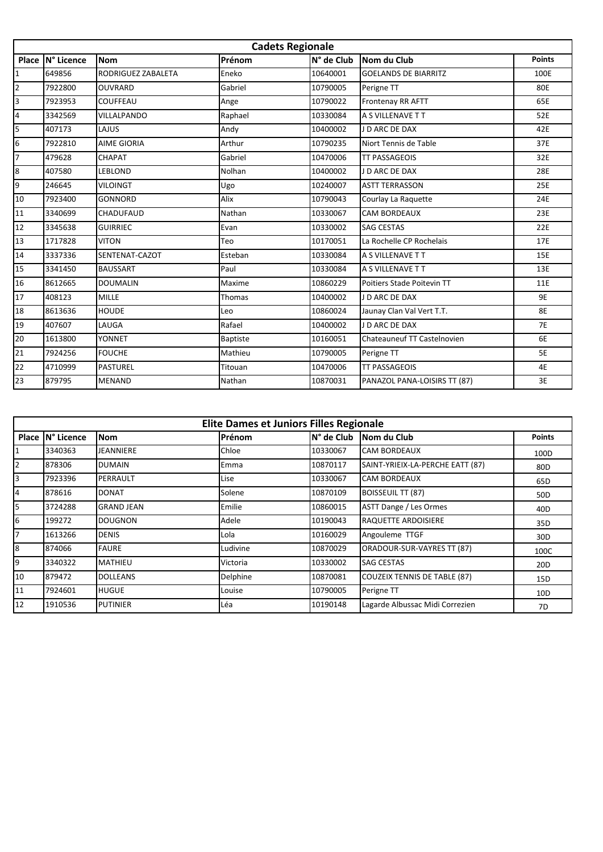|                         | <b>Cadets Regionale</b> |                    |                 |            |                              |               |  |  |
|-------------------------|-------------------------|--------------------|-----------------|------------|------------------------------|---------------|--|--|
| Place                   | N° Licence              | <b>Nom</b>         | Prénom          | N° de Club | Nom du Club                  | <b>Points</b> |  |  |
| $\mathbf{1}$            | 649856                  | RODRIGUEZ ZABALETA | Eneko           | 10640001   | <b>GOELANDS DE BIARRITZ</b>  | 100E          |  |  |
| $\overline{2}$          | 7922800                 | <b>OUVRARD</b>     | Gabriel         | 10790005   | Perigne TT                   | 80E           |  |  |
| $\overline{3}$          | 7923953                 | COUFFEAU           | Ange            | 10790022   | Frontenay RR AFTT            | 65E           |  |  |
| $\overline{\mathbf{4}}$ | 3342569                 | VILLALPANDO        | Raphael         | 10330084   | A S VILLENAVE T T            | 52E           |  |  |
| $\overline{5}$          | 407173                  | LAJUS              | Andy            | 10400002   | J D ARC DE DAX               | 42E           |  |  |
| $6\overline{6}$         | 7922810                 | <b>AIME GIORIA</b> | Arthur          | 10790235   | Niort Tennis de Table        | 37E           |  |  |
| 7                       | 479628                  | CHAPAT             | Gabriel         | 10470006   | <b>TT PASSAGEOIS</b>         | 32E           |  |  |
| $\overline{8}$          | 407580                  | <b>LEBLOND</b>     | Nolhan          | 10400002   | J D ARC DE DAX               | 28E           |  |  |
| 9                       | 246645                  | <b>VILOINGT</b>    | Ugo             | 10240007   | <b>ASTT TERRASSON</b>        | 25E           |  |  |
| 10                      | 7923400                 | <b>GONNORD</b>     | Alix            | 10790043   | Courlay La Raguette          | 24E           |  |  |
| 11                      | 3340699                 | CHADUFAUD          | Nathan          | 10330067   | <b>CAM BORDEAUX</b>          | 23E           |  |  |
| 12                      | 3345638                 | <b>GUIRRIEC</b>    | Evan            | 10330002   | <b>SAG CESTAS</b>            | 22E           |  |  |
| 13                      | 1717828                 | <b>VITON</b>       | Teo             | 10170051   | La Rochelle CP Rochelais     | 17E           |  |  |
| 14                      | 3337336                 | SENTENAT-CAZOT     | Esteban         | 10330084   | A S VILLENAVE T T            | 15E           |  |  |
| 15                      | 3341450                 | <b>BAUSSART</b>    | Paul            | 10330084   | A S VILLENAVE T T            | 13E           |  |  |
| 16                      | 8612665                 | <b>DOUMALIN</b>    | Maxime          | 10860229   | Poitiers Stade Poitevin TT   | 11E           |  |  |
| 17                      | 408123                  | <b>MILLE</b>       | Thomas          | 10400002   | J D ARC DE DAX               | 9E            |  |  |
| 18                      | 8613636                 | <b>HOUDE</b>       | Leo             | 10860024   | Jaunay Clan Val Vert T.T.    | <b>8E</b>     |  |  |
| 19                      | 407607                  | LAUGA              | Rafael          | 10400002   | J D ARC DE DAX               | <b>7E</b>     |  |  |
| 20                      | 1613800                 | YONNET             | <b>Baptiste</b> | 10160051   | Chateauneuf TT Castelnovien  | 6E            |  |  |
| 21                      | 7924256                 | <b>FOUCHE</b>      | Mathieu         | 10790005   | Perigne TT                   | 5E            |  |  |
| 22                      | 4710999                 | <b>PASTUREL</b>    | Titouan         | 10470006   | <b>TT PASSAGEOIS</b>         | 4E            |  |  |
| 23                      | 879795                  | <b>MENAND</b>      | Nathan          | 10870031   | PANAZOL PANA-LOISIRS TT (87) | 3E            |  |  |

| <b>Elite Dames et Juniors Filles Regionale</b> |                   |                   |          |            |                                     |                 |  |
|------------------------------------------------|-------------------|-------------------|----------|------------|-------------------------------------|-----------------|--|
|                                                | Place IN° Licence | <b>Nom</b>        | Prénom   | N° de Club | Nom du Club                         | <b>Points</b>   |  |
| 1                                              | 3340363           | JEANNIERE         | Chloe    | 10330067   | <b>CAM BORDEAUX</b>                 | 100D            |  |
| $\overline{2}$                                 | 878306            | <b>DUMAIN</b>     | Emma     | 10870117   | SAINT-YRIEIX-LA-PERCHE EATT (87)    | 80 <sub>D</sub> |  |
| 3                                              | 7923396           | PERRAULT          | Lise     | 10330067   | <b>CAM BORDEAUX</b>                 | 65D             |  |
| $\overline{4}$                                 | 878616            | <b>DONAT</b>      | Solene   | 10870109   | <b>BOISSEUIL TT (87)</b>            | 50 <sub>D</sub> |  |
| 5                                              | 3724288           | <b>GRAND JEAN</b> | Emilie   | 10860015   | ASTT Dange / Les Ormes              | 40 <sub>D</sub> |  |
| 6                                              | 199272            | <b>DOUGNON</b>    | Adele    | 10190043   | <b>RAQUETTE ARDOISIERE</b>          | 35D             |  |
| $\overline{7}$                                 | 1613266           | <b>DENIS</b>      | Lola     | 10160029   | Angouleme TTGF                      | 30 <sub>D</sub> |  |
| $\overline{8}$                                 | 874066            | <b>FAURE</b>      | Ludivine | 10870029   | ORADOUR-SUR-VAYRES TT (87)          | 100C            |  |
| 9                                              | 3340322           | <b>MATHIEU</b>    | Victoria | 10330002   | <b>SAG CESTAS</b>                   | 20 <sub>D</sub> |  |
| 10                                             | 879472            | <b>DOLLEANS</b>   | Delphine | 10870081   | <b>COUZEIX TENNIS DE TABLE (87)</b> | 15D             |  |
| 11                                             | 7924601           | <b>HUGUE</b>      | Louise   | 10790005   | Perigne TT                          | 10 <sub>D</sub> |  |
| 12                                             | 1910536           | <b>PUTINIER</b>   | Léa      | 10190148   | Lagarde Albussac Midi Correzien     | 7D              |  |